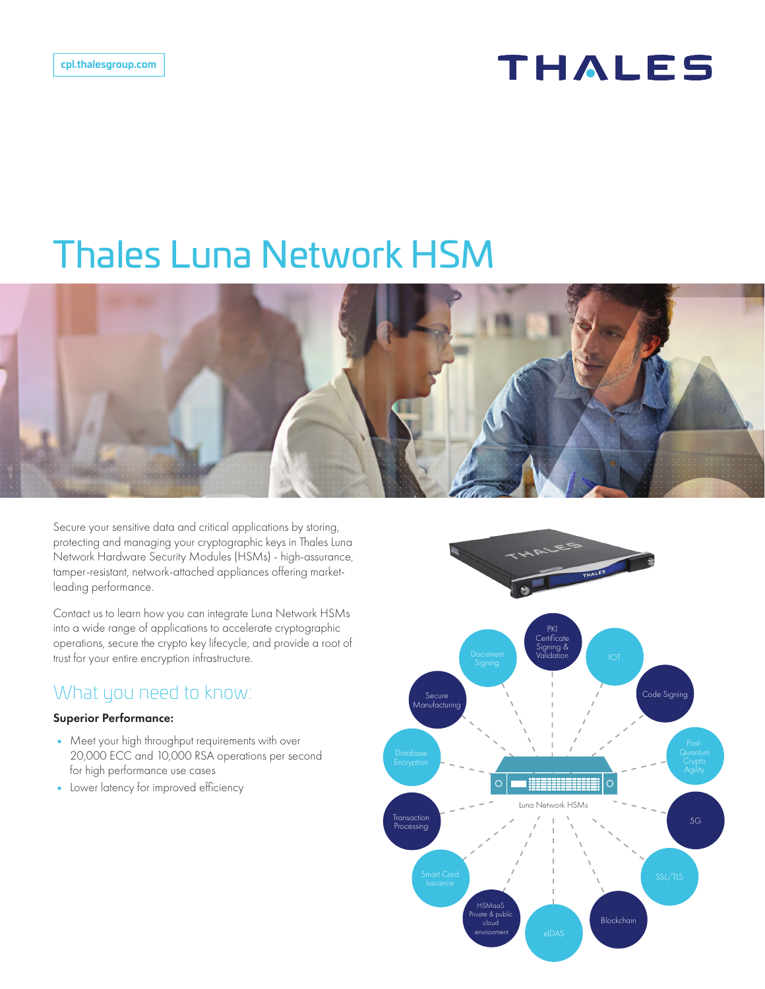## **THALES**

# Thales Luna Network HSM



Secure your sensitive data and critical applications by storing, protecting and managing your cryptographic keys in Thales Luna Network Hardware Security Modules (HSMs) - high-assurance, tamper-resistant, network-attached appliances offering marketleading performance.

Contact us to learn how you can integrate Luna Network HSMs into a wide range of applications to accelerate cryptographic operations, secure the crypto key lifecycle, and provide a root of trust for your entire encryption infrastructure.

## What you need to know:

#### Superior Performance:

- Meet your high throughput requirements with over 20,000 ECC and 10,000 RSA operations per second for high performance use cases
- Lower latency for improved efficiency

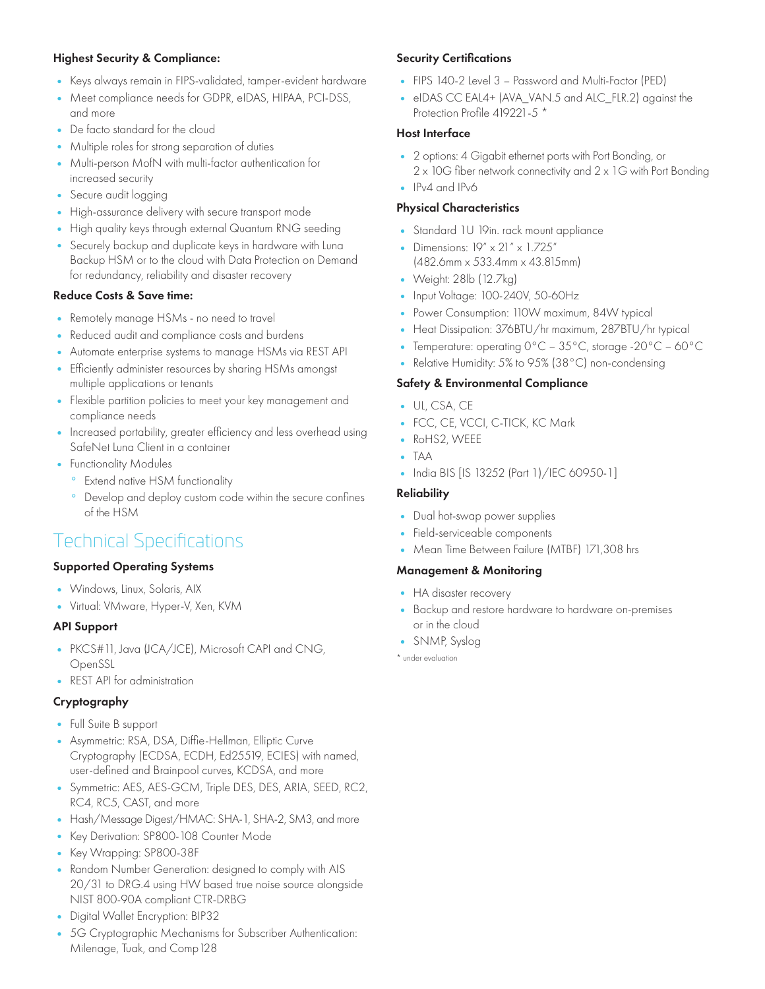#### Highest Security & Compliance:

- Keys always remain in FIPS-validated, tamper-evident hardware
- Meet compliance needs for GDPR, eIDAS, HIPAA, PCI-DSS, and more
- De facto standard for the cloud
- Multiple roles for strong separation of duties
- Multi-person MofN with multi-factor authentication for increased security
- Secure audit logging
- High-assurance delivery with secure transport mode
- High quality keys through external Quantum RNG seeding
- Securely backup and duplicate keys in hardware with Luna Backup HSM or to the cloud with Data Protection on Demand for redundancy, reliability and disaster recovery

#### Reduce Costs & Save time:

- Remotely manage HSMs no need to travel
- Reduced audit and compliance costs and burdens
- Automate enterprise systems to manage HSMs via REST API
- Efficiently administer resources by sharing HSMs amongst multiple applications or tenants
- Flexible partition policies to meet your key management and compliance needs
- Increased portability, greater efficiency and less overhead using SafeNet Luna Client in a container
- Functionality Modules
	- ° Extend native HSM functionality
	- ° Develop and deploy custom code within the secure confines of the HSM

## Technical Specifications

#### Supported Operating Systems

- Windows, Linux, Solaris, AIX
- Virtual: VMware, Hyper-V, Xen, KVM

#### API Support

- PKCS#11, Java (JCA/JCE), Microsoft CAPI and CNG, OpenSSL
- REST API for administration

#### Cryptography

- Full Suite B support
- Asymmetric: RSA, DSA, Diffie-Hellman, Elliptic Curve Cryptography (ECDSA, ECDH, Ed25519, ECIES) with named, user-defined and Brainpool curves, KCDSA, and more
- Symmetric: AES, AES-GCM, Triple DES, DES, ARIA, SEED, RC2, RC4, RC5, CAST, and more
- Hash/Message Digest/HMAC: SHA-1, SHA-2, SM3, and more
- Key Derivation: SP800-108 Counter Mode
- Key Wrapping: SP800-38F
- Random Number Generation: designed to comply with AIS 20/31 to DRG.4 using HW based true noise source alongside NIST 800-90A compliant CTR-DRBG
- Digital Wallet Encryption: BIP32
- 5G Cryptographic Mechanisms for Subscriber Authentication: Milenage, Tuak, and Comp128

#### Security Certifications

- FIPS 140-2 Level 3 Password and Multi-Factor (PED)
- eIDAS CC EAL4+ (AVA\_VAN.5 and ALC\_FLR.2) against the Protection Profile 419221-5 \*

#### Host Interface

- 2 options: 4 Gigabit ethernet ports with Port Bonding, or 2 x 10G fiber network connectivity and 2 x 1G with Port Bonding
- IPv4 and IPv6

#### Physical Characteristics

- Standard 1U 19in. rack mount appliance
- Dimensions: 19" x 21" x 1.725" (482.6mm x 533.4mm x 43.815mm)
- Weight: 28lb (12.7kg)
- Input Voltage: 100-240V, 50-60Hz
- Power Consumption: 110W maximum, 84W typical
- Heat Dissipation: 376BTU/hr maximum, 287BTU/hr typical
- Temperature: operating 0°C 35°C, storage -20°C 60°C
- Relative Humidity: 5% to 95% (38°C) non-condensing

#### Safety & Environmental Compliance

- UL, CSA, CE
- FCC, CE, VCCI, C-TICK, KC Mark
- RoHS2, WEEE
- TAA
- India BIS [IS 13252 (Part 1)/IEC 60950-1]

#### **Reliability**

- Dual hot-swap power supplies
- Field-serviceable components
- Mean Time Between Failure (MTBF) 171,308 hrs

#### Management & Monitoring

- HA disaster recovery
- Backup and restore hardware to hardware on-premises or in the cloud
- SNMP, Syslog

\* under evaluation